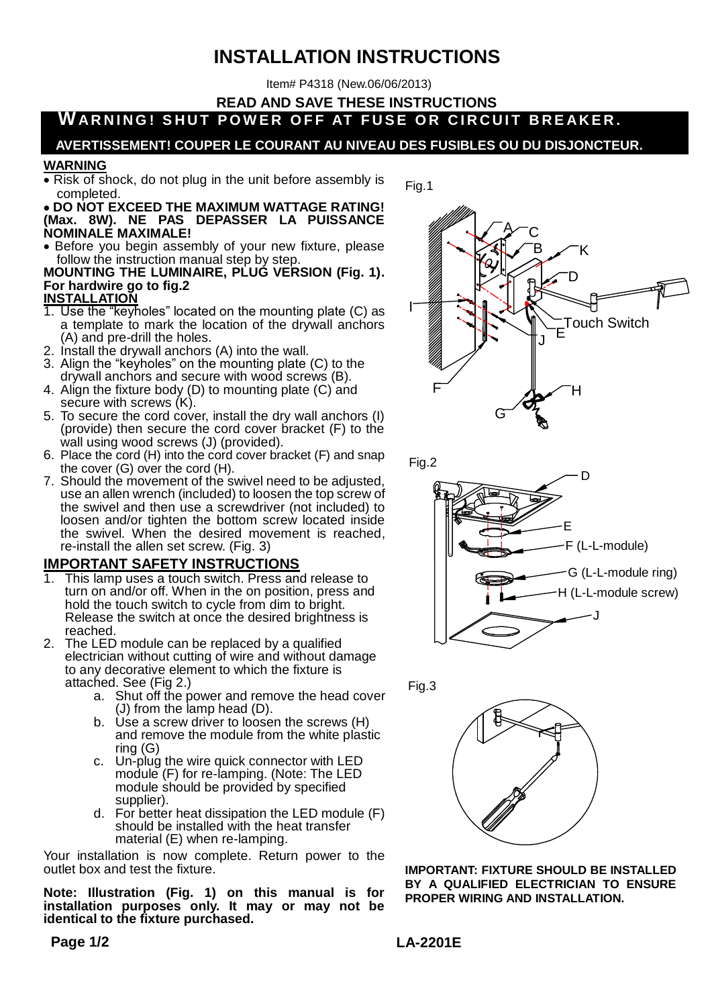# **INSTALLATION INSTRUCTIONS**

Item# P4318 (New.06/06/2013)

**READ AND SAVE THESE INSTRUCTIONS**

WARNING! SHUT POWER OFF AT FUSE OR CIRCUIT BREAKER.

## **AVERTISSEMENT! COUPER LE COURANT AU NIVEAU DES FUSIBLES OU DU DISJONCTEUR.**

Fig.1

#### **WARNING**

 Risk of shock, do not plug in the unit before assembly is completed.

 **DO NOT EXCEED THE MAXIMUM WATTAGE RATING! (Max. 8W). NE PAS DEPASSER LA PUISSANCE NOMINALE MAXIMALE!**

• Before you begin assembly of your new fixture, please follow the instruction manual step by step.

#### **MOUNTING THE LUMINAIRE, PLUG VERSION (Fig. 1). For hardwire go to fig.2 INSTALLATION**

- 1. Use the "keyholes" located on the mounting plate (C) as a template to mark the location of the drywall anchors
- (A) and pre-drill the holes. 2. Install the drywall anchors (A) into the wall.
- 3. Align the "keyholes" on the mounting plate (C) to the drywall anchors and secure with wood screws (B).
- 4. Align the fixture body (D) to mounting plate (C) and secure with screws (K).
- 5. To secure the cord cover, install the dry wall anchors (I) (provide) then secure the cord cover bracket (F) to the wall using wood screws (J) (provided).
- 6. Place the cord (H) into the cord cover bracket (F) and snap the cover (G) over the cord (H).
- 7. Should the movement of the swivel need to be adjusted, use an allen wrench (included) to loosen the top screw of the swivel and then use a screwdriver (not included) to loosen and/or tighten the bottom screw located inside the swivel. When the desired movement is reached, re-install the allen set screw. (Fig. 3)

### **IMPORTANT SAFETY INSTRUCTIONS**

- 1. This lamp uses a touch switch. Press and release to turn on and/or off. When in the on position, press and hold the touch switch to cycle from dim to bright. Release the switch at once the desired brightness is reached.
- 2. The LED module can be replaced by a qualified electrician without cutting of wire and without damage to any decorative element to which the fixture is attached. See (Fig 2.)
	- a. Shut off the power and remove the head cover (J) from the lamp head (D).
	- b. Use a screw driver to loosen the screws (H) and remove the module from the white plastic ring (G)
	- c. Un-plug the wire quick connector with LED module (F) for re-lamping. (Note: The LED module should be provided by specified supplier).
	- d. For better heat dissipation the LED module (F) should be installed with the heat transfer material (E) when re-lamping.

Your installation is now complete. Return power to the outlet box and test the fixture.

**Note: Illustration (Fig. 1) on this manual is for installation purposes only. It may or may not be identical to the fixture purchased.**











**IMPORTANT: FIXTURE SHOULD BE INSTALLED BY A QUALIFIED ELECTRICIAN TO ENSURE PROPER WIRING AND INSTALLATION.**

**LA-2201E**